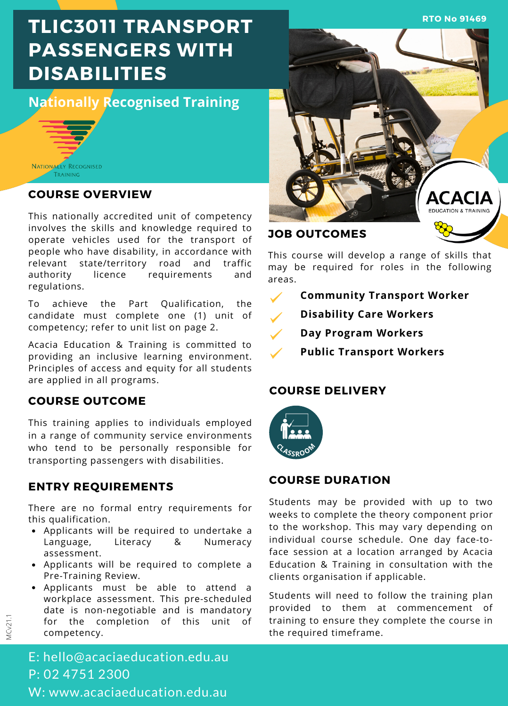**RTO No 91469**

# **TLIC3011 TRANSPORT PASSENGERS WITH DISABILITIES**

## **Nationally Recognised Training**



## **COURSE OVERVIEW**

This nationally accredited unit of competency involves the skills and knowledge required to operate vehicles used for the transport of people who have disability, in accordance with relevant state/territory road and traffic authority licence requirements and regulations.

To achieve the Part Qualification, the candidate must complete one (1) unit of competency; refer to unit list on page 2.

Acacia Education & Training is committed to providing an inclusive learning environment. Principles of access and equity for all students are applied in all programs.

## **COURSE OUTCOME**

This training applies to individuals employed in a range of community service environments who tend to be personally responsible for transporting passengers with disabilities.

## **ENTRY REQUIREMENTS**

There are no formal entry requirements for this qualification.

- Applicants will be required to undertake a Language, Literacy & Numeracy assessment.
- Applicants will be required to complete a Pre-Training Review.
- Applicants must be able to attend a workplace assessment. This pre-scheduled date is non-negotiable and is mandatory for the completion of this unit of competency.



## **JOB OUTCOMES**

This course will develop a range of skills that may be required for roles in the following areas.

- **Community Transport Worker**
	- **Disability Care Workers**
- **Day Program Workers**
- **Public Transport Workers**

### **COURSE DELIVERY**



## **COURSE DURATION**

Students may be provided with up to two weeks to complete the theory component prior to the workshop. This may vary depending on individual course schedule. One day face-toface session at a location arranged by Acacia Education & Training in consultation with the clients organisation if applicable.

Students will need to follow the training plan provided to them at commencement of training to ensure they complete the course in the required timeframe.

E: hello@acaciaeducation.edu.au P: 02 4751 2300 W: www.acaciaeducation.edu.au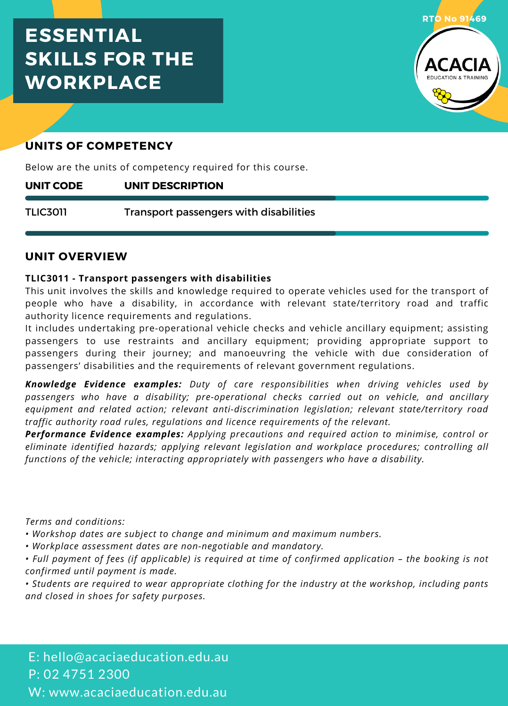## **ESSENTIAL SKILLS FOR THE WORKPLACE**



## **UNITS OF COMPETENCY**

Below are the units of competency required for this course.

#### **UNIT DESCRIPTION UNIT CODE**

Transport passengers with disabilities TLIC3011

#### **UNIT OVERVIEW**

#### **TLIC3011 - Transport passengers with disabilities**

This unit involves the skills and knowledge required to operate vehicles used for the transport of people who have a disability, in accordance with relevant state/territory road and traffic authority licence requirements and regulations.

It includes undertaking pre-operational vehicle checks and vehicle ancillary equipment; assisting passengers to use restraints and ancillary equipment; providing appropriate support to passengers during their journey; and manoeuvring the vehicle with due consideration of passengers' disabilities and the requirements of relevant government regulations.

*Knowledge Evidence examples: Duty of care responsibilities when driving vehicles used by passengers who have a disability; pre-operational checks carried out on vehicle, and ancillary equipment and related action; relevant anti-discrimination legislation; relevant state/territory road traffic authority road rules, regulations and licence requirements of the relevant.*

*Performance Evidence examples: Applying precautions and required action to minimise, control or eliminate identified hazards; applying relevant legislation and workplace procedures; controlling all functions of the vehicle; interacting appropriately with passengers who have a disability.*

*Terms and conditions:*

- *• Workshop dates are subject to change and minimum and maximum numbers.*
- *• Workplace assessment dates are non-negotiable and mandatory.*
- Full payment of fees (if applicable) is required at time of confirmed application the booking is not *confirmed until payment is made.*

*• Students are required to wear appropriate clothing for the industry at the workshop, including pants and closed in shoes for safety purposes.*

E: hello@acaciaeducation.edu.au P: 02 4751 2300 W: www.acaciaeducation.edu.au